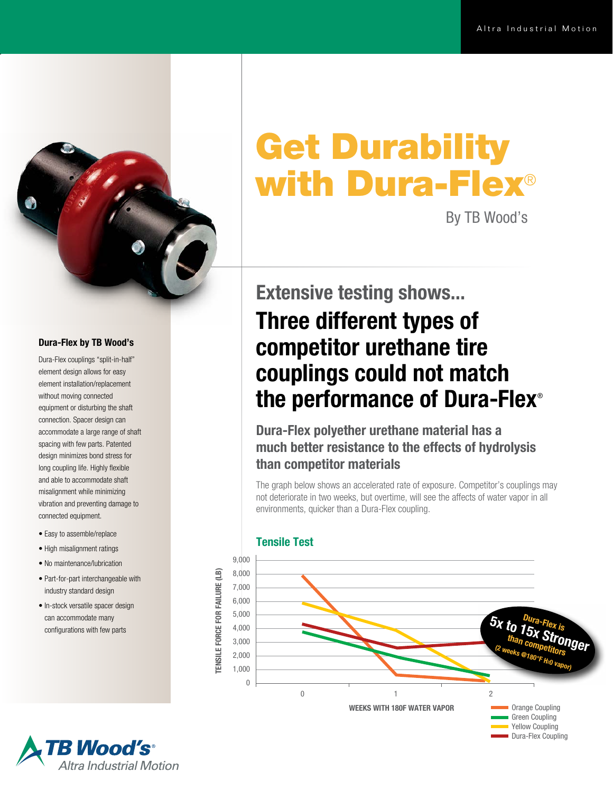Dura-Flex Coupling



#### Dura-Flex by TB Wood's

Dura-Flex couplings "split-in-half" element design allows for easy element installation/replacement without moving connected equipment or disturbing the shaft connection. Spacer design can accommodate a large range of shaft spacing with few parts. Patented design minimizes bond stress for long coupling life. Highly flexible and able to accommodate shaft misalignment while minimizing vibration and preventing damage to connected equipment.

- Easy to assemble/replace
- High misalignment ratings
- No maintenance/lubrication
- Part-for-part interchangeable with industry standard design
- In-stock versatile spacer design can accommodate many configurations with few parts

# Get Durability with Dura-Flex®

By TB Wood's

## Extensive testing shows... Three different types of competitor urethane tire couplings could not match the performance of Dura-Flex<sup>®</sup>

Dura-Flex polyether urethane material has a much better resistance to the effects of hydrolysis than competitor materials

The graph below shows an accelerated rate of exposure. Competitor's couplings may not deteriorate in two weeks, but overtime, will see the affects of water vapor in all environments, quicker than a Dura-Flex coupling.



#### Tensile Test

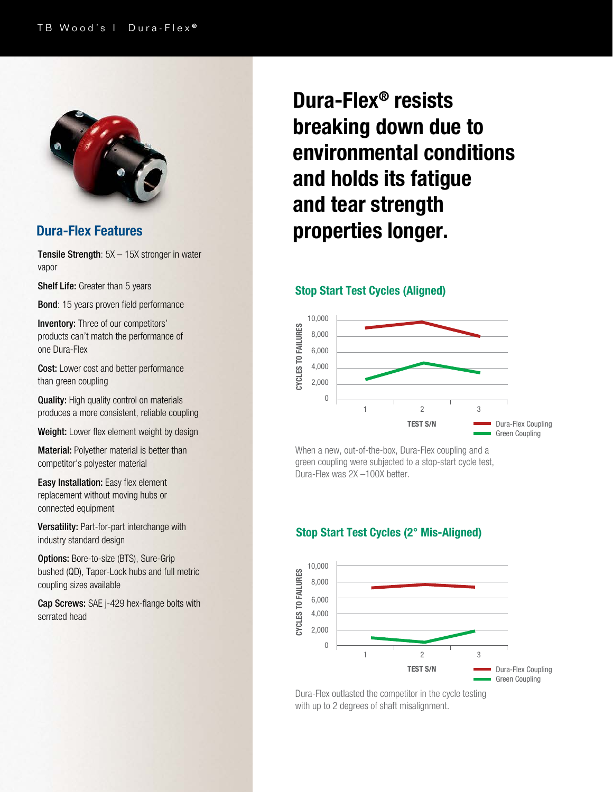

Tensile Strength: 5X – 15X stronger in water vapor

Shelf Life: Greater than 5 years

Bond: 15 years proven field performance

Inventory: Three of our competitors' products can't match the performance of one Dura-Flex

Cost: Lower cost and better performance than green coupling

**Quality:** High quality control on materials produces a more consistent, reliable coupling

Weight: Lower flex element weight by design

**Material:** Polyether material is better than competitor's polyester material

**Easy Installation:** Easy flex element replacement without moving hubs or connected equipment

Versatility: Part-for-part interchange with industry standard design

**Options: Bore-to-size (BTS), Sure-Grip** bushed (QD), Taper-Lock hubs and full metric coupling sizes available

Cap Screws: SAE j-429 hex-flange bolts with serrated head

## Dura-Flex® resists breaking down due to environmental conditions and holds its fatigue and tear strength Dura-Flex Features **properties longer.**

#### Stop Start Test Cycles (Aligned)



When a new, out-of-the-box, Dura-Flex coupling and a green coupling were subjected to a stop-start cycle test, Dura-Flex was 2X –100X better.

### Stop Start Test Cycles (2° Mis-Aligned)



Dura-Flex outlasted the competitor in the cycle testing with up to 2 degrees of shaft misalignment.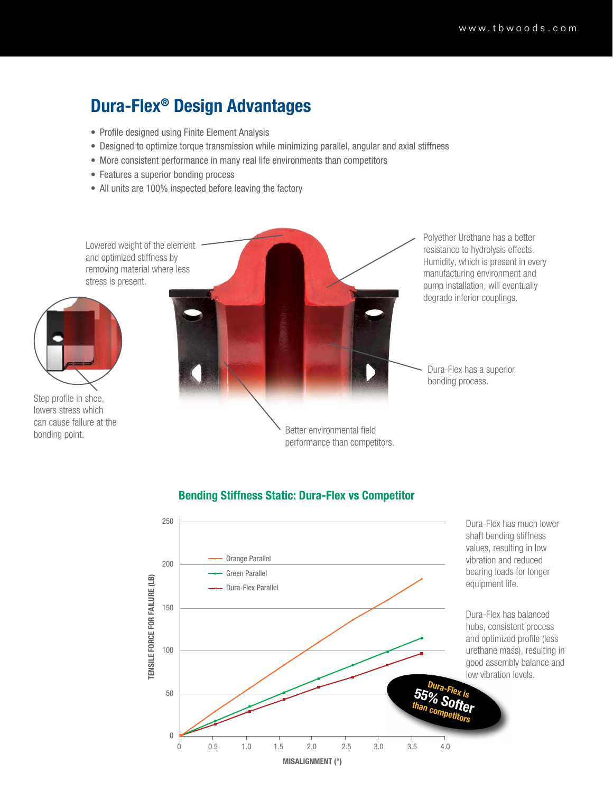### Dura-Flex® Design Advantages

- Profile designed using Finite Element Analysis
- Designed to optimize torque transmission while minimizing parallel, angular and axial stiffness
- More consistent performance in many real life environments than competitors
- Features a superior bonding process
- All units are 100% inspected before leaving the factory

Lowered weight of the element and optimized stiffness by removing material where less stress is present.



Step profile in shoe, lowers stress which can cause failure at the bonding point.



### Bending Stiffness Static: Dura-Flex vs Competitor